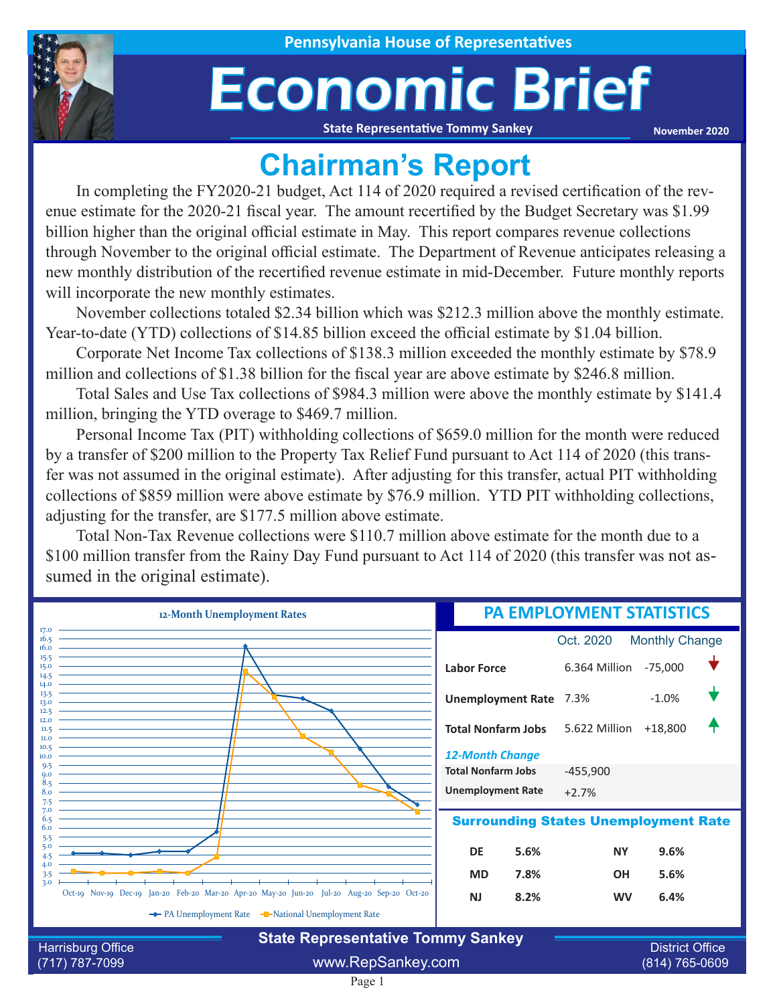

## Economic Brief

**State Representative Tommy Sankey**

**November 2020**

## **Chairman's Report**

In completing the FY2020-21 budget, Act 114 of 2020 required a revised certification of the revenue estimate for the 2020-21 fiscal year. The amount recertified by the Budget Secretary was \$1.99 billion higher than the original official estimate in May. This report compares revenue collections through November to the original official estimate. The Department of Revenue anticipates releasing a new monthly distribution of the recertified revenue estimate in mid-December. Future monthly reports will incorporate the new monthly estimates.

November collections totaled \$2.34 billion which was \$212.3 million above the monthly estimate. Year-to-date (YTD) collections of \$14.85 billion exceed the official estimate by \$1.04 billion.

Corporate Net Income Tax collections of \$138.3 million exceeded the monthly estimate by \$78.9 million and collections of \$1.38 billion for the fiscal year are above estimate by \$246.8 million.

Total Sales and Use Tax collections of \$984.3 million were above the monthly estimate by \$141.4 million, bringing the YTD overage to \$469.7 million.

Personal Income Tax (PIT) withholding collections of \$659.0 million for the month were reduced by a transfer of \$200 million to the Property Tax Relief Fund pursuant to Act 114 of 2020 (this transfer was not assumed in the original estimate). After adjusting for this transfer, actual PIT withholding collections of \$859 million were above estimate by \$76.9 million. YTD PIT withholding collections, adjusting for the transfer, are \$177.5 million above estimate.

Total Non-Tax Revenue collections were \$110.7 million above estimate for the month due to a \$100 million transfer from the Rainy Day Fund pursuant to Act 114 of 2020 (this transfer was not assumed in the original estimate).

| 12-Month Unemployment Rates                                             |                                                                                            | <b>PA EMPLOYMENT STATISTICS</b> |                                          |                       |  |
|-------------------------------------------------------------------------|--------------------------------------------------------------------------------------------|---------------------------------|------------------------------------------|-----------------------|--|
| 17.0<br>16.5<br>16.0                                                    |                                                                                            |                                 | Oct. 2020                                | <b>Monthly Change</b> |  |
| 15.5<br>15.0<br>14.5                                                    |                                                                                            | <b>Labor Force</b>              | 6.364 Million -75,000                    |                       |  |
| 14.0<br>13.5<br>13.0<br>12.5                                            |                                                                                            | <b>Unemployment Rate 7.3%</b>   |                                          | $-1.0%$               |  |
| 12.0<br>11.5<br>II.0<br>10.5                                            |                                                                                            | <b>Total Nonfarm Jobs</b>       | 5.622 Million +18,800                    |                       |  |
| 10.0<br>9.5                                                             |                                                                                            | <b>12-Month Change</b>          |                                          |                       |  |
| $Q_{\rm 0}$<br>8.5                                                      |                                                                                            | <b>Total Nonfarm Jobs</b>       | $-455,900$                               |                       |  |
| 8.0<br>7.5                                                              |                                                                                            | <b>Unemployment Rate</b>        | $+2.7%$                                  |                       |  |
| 7.0<br><b>Surrounding States Unemployment Rate</b><br>6.5<br>6.0<br>5.5 |                                                                                            |                                 |                                          |                       |  |
| 5.0                                                                     |                                                                                            | DE<br>5.6%                      | <b>NY</b>                                | 9.6%                  |  |
| 4.0<br>3.5                                                              |                                                                                            | <b>MD</b><br>7.8%               | <b>OH</b>                                | 5.6%                  |  |
| 3.0                                                                     | Oct-19 Nov-19 Dec-19 Jan-20 Feb-20 Mar-20 Apr-20 May-20 Jun-20 Jul-20 Aug-20 Sep-20 Oct-20 | 8.2%<br><b>NJ</b>               | <b>WV</b>                                | 6.4%                  |  |
|                                                                         | The PA Unemployment Rate The National Unemployment Rate                                    |                                 |                                          |                       |  |
|                                                                         | <b>State Representative Tommy Sankey</b>                                                   |                                 |                                          |                       |  |
| <b>Harrisburg Office</b><br>(717) 787-7099                              | www.RepSankey.com                                                                          |                                 | <b>District Office</b><br>(814) 765-0609 |                       |  |